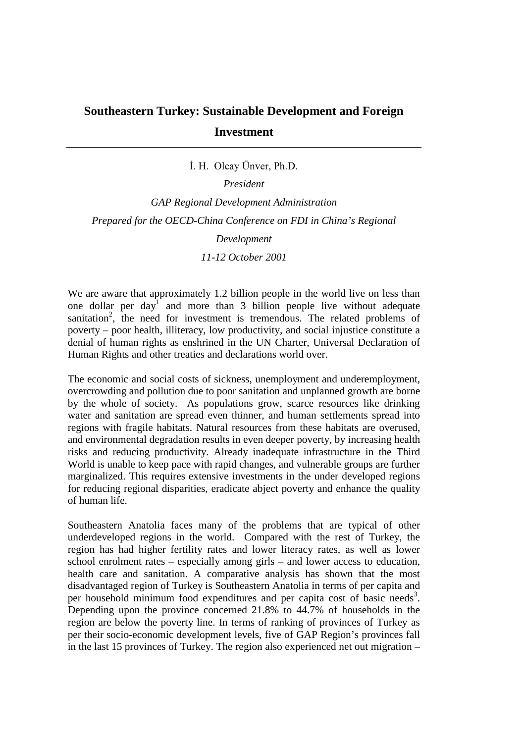## **Southeastern Turkey: Sustainable Development and Foreign Investment**

I. H. Olcay Ünver, Ph.D.

*President*

*GAP Regional Development Administration Prepared for the OECD-China Conference on FDI in China's Regional Development*

*11-12 October 2001*

We are aware that approximately 1.2 billion people in the world live on less than one dollar per day<sup>1</sup> and more than 3 billion people live without adequate sanitation<sup>2</sup>, the need for investment is tremendous. The related problems of poverty – poor health, illiteracy, low productivity, and social injustice constitute a denial of human rights as enshrined in the UN Charter, Universal Declaration of Human Rights and other treaties and declarations world over.

The economic and social costs of sickness, unemployment and underemployment, overcrowding and pollution due to poor sanitation and unplanned growth are borne by the whole of society. As populations grow, scarce resources like drinking water and sanitation are spread even thinner, and human settlements spread into regions with fragile habitats. Natural resources from these habitats are overused, and environmental degradation results in even deeper poverty, by increasing health risks and reducing productivity. Already inadequate infrastructure in the Third World is unable to keep pace with rapid changes, and vulnerable groups are further marginalized. This requires extensive investments in the under developed regions for reducing regional disparities, eradicate abject poverty and enhance the quality of human life.

Southeastern Anatolia faces many of the problems that are typical of other underdeveloped regions in the world. Compared with the rest of Turkey, the region has had higher fertility rates and lower literacy rates, as well as lower school enrolment rates – especially among girls – and lower access to education, health care and sanitation. A comparative analysis has shown that the most disadvantaged region of Turkey is Southeastern Anatolia in terms of per capita and per household minimum food expenditures and per capita cost of basic needs<sup>3</sup>. Depending upon the province concerned 21.8% to 44.7% of households in the region are below the poverty line. In terms of ranking of provinces of Turkey as per their socio-economic development levels, five of GAP Region's provinces fall in the last 15 provinces of Turkey. The region also experienced net out migration –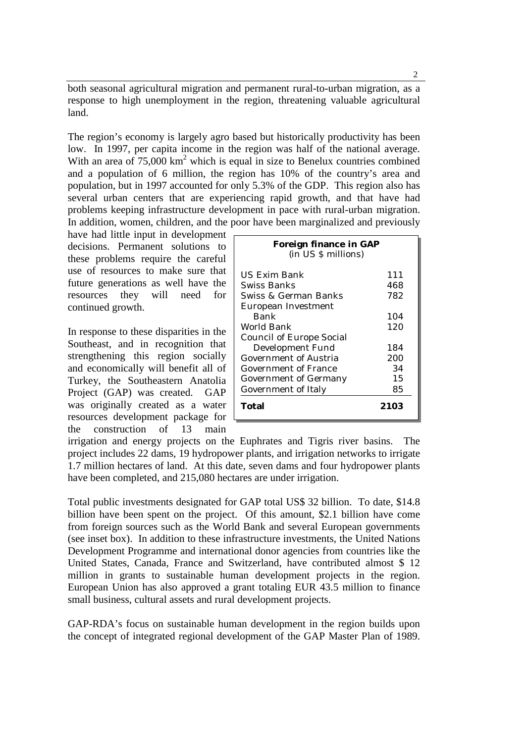both seasonal agricultural migration and permanent rural-to-urban migration, as a response to high unemployment in the region, threatening valuable agricultural land.

The region's economy is largely agro based but historically productivity has been low. In 1997, per capita income in the region was half of the national average. With an area of  $75,000 \text{ km}^2$  which is equal in size to Benelux countries combined and a population of 6 million, the region has 10% of the country's area and population, but in 1997 accounted for only 5.3% of the GDP. This region also has several urban centers that are experiencing rapid growth, and that have had problems keeping infrastructure development in pace with rural-urban migration. In addition, women, children, and the poor have been marginalized and previously

have had little input in development decisions. Permanent solutions to these problems require the careful use of resources to make sure that future generations as well have the resources they will need for continued growth.

In response to these disparities in the Southeast, and in recognition that strengthening this region socially and economically will benefit all of Turkey, the Southeastern Anatolia Project (GAP) was created. GAP was originally created as a water resources development package for the construction of 13 main

| <b>Foreign finance in GAP</b><br>(in US \$ millions) |      |
|------------------------------------------------------|------|
| US Exim Bank                                         | 111  |
| Swiss Banks                                          | 468  |
| Swiss & German Banks                                 | 782  |
| <b>European Investment</b>                           |      |
| <b>Bank</b>                                          | 104  |
| World Bank                                           | 120  |
| <b>Council of Europe Social</b>                      |      |
| <b>Development Fund</b>                              | 184  |
| <b>Government of Austria</b>                         | 200  |
| <b>Government of France</b>                          | 34   |
| <b>Government of Germany</b>                         | 15   |
| <b>Government of Italy</b>                           | 85   |
| Total                                                | 2103 |

irrigation and energy projects on the Euphrates and Tigris river basins. The project includes 22 dams, 19 hydropower plants, and irrigation networks to irrigate 1.7 million hectares of land. At this date, seven dams and four hydropower plants have been completed, and 215,080 hectares are under irrigation.

Total public investments designated for GAP total US\$ 32 billion. To date, \$14.8 billion have been spent on the project. Of this amount, \$2.1 billion have come from foreign sources such as the World Bank and several European governments (see inset box). In addition to these infrastructure investments, the United Nations Development Programme and international donor agencies from countries like the United States, Canada, France and Switzerland, have contributed almost \$ 12 million in grants to sustainable human development projects in the region. European Union has also approved a grant totaling EUR 43.5 million to finance small business, cultural assets and rural development projects.

GAP-RDA's focus on sustainable human development in the region builds upon the concept of integrated regional development of the GAP Master Plan of 1989.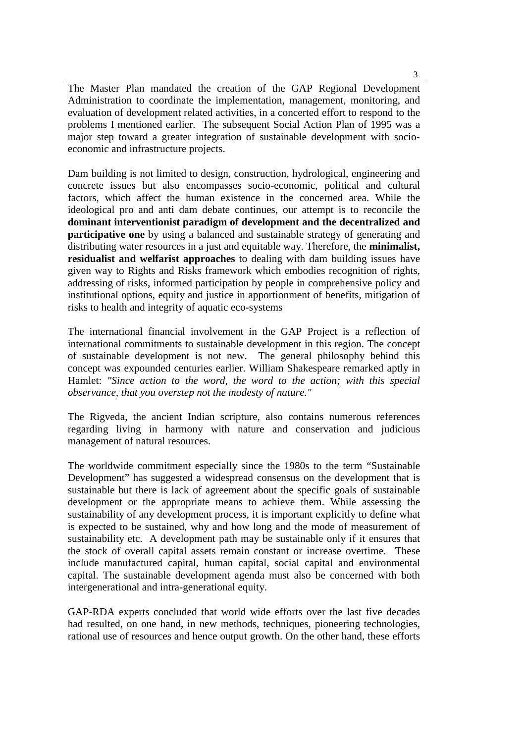The Master Plan mandated the creation of the GAP Regional Development Administration to coordinate the implementation, management, monitoring, and evaluation of development related activities, in a concerted effort to respond to the problems I mentioned earlier. The subsequent Social Action Plan of 1995 was a major step toward a greater integration of sustainable development with socioeconomic and infrastructure projects.

Dam building is not limited to design, construction, hydrological, engineering and concrete issues but also encompasses socio-economic, political and cultural factors, which affect the human existence in the concerned area. While the ideological pro and anti dam debate continues, our attempt is to reconcile the **dominant interventionist paradigm of development and the decentralized and participative one** by using a balanced and sustainable strategy of generating and distributing water resources in a just and equitable way. Therefore, the **minimalist, residualist and welfarist approaches** to dealing with dam building issues have given way to Rights and Risks framework which embodies recognition of rights, addressing of risks, informed participation by people in comprehensive policy and institutional options, equity and justice in apportionment of benefits, mitigation of risks to health and integrity of aquatic eco-systems

The international financial involvement in the GAP Project is a reflection of international commitments to sustainable development in this region. The concept of sustainable development is not new. The general philosophy behind this concept was expounded centuries earlier. William Shakespeare remarked aptly in Hamlet: *"Since action to the word, the word to the action; with this special observance, that you overstep not the modesty of nature."*

The Rigveda, the ancient Indian scripture, also contains numerous references regarding living in harmony with nature and conservation and judicious management of natural resources.

The worldwide commitment especially since the 1980s to the term "Sustainable Development" has suggested a widespread consensus on the development that is sustainable but there is lack of agreement about the specific goals of sustainable development or the appropriate means to achieve them. While assessing the sustainability of any development process, it is important explicitly to define what is expected to be sustained, why and how long and the mode of measurement of sustainability etc. A development path may be sustainable only if it ensures that the stock of overall capital assets remain constant or increase overtime. These include manufactured capital, human capital, social capital and environmental capital. The sustainable development agenda must also be concerned with both intergenerational and intra-generational equity.

GAP-RDA experts concluded that world wide efforts over the last five decades had resulted, on one hand, in new methods, techniques, pioneering technologies, rational use of resources and hence output growth. On the other hand, these efforts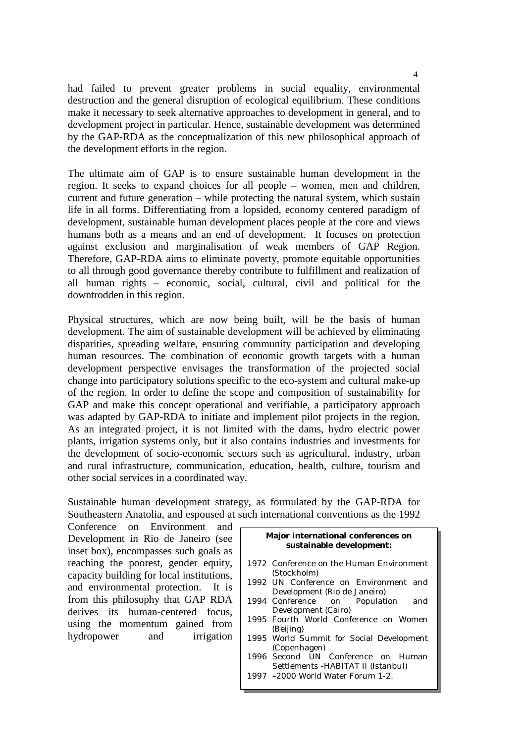had failed to prevent greater problems in social equality, environmental destruction and the general disruption of ecological equilibrium. These conditions make it necessary to seek alternative approaches to development in general, and to development project in particular. Hence, sustainable development was determined by the GAP-RDA as the conceptualization of this new philosophical approach of the development efforts in the region.

The ultimate aim of GAP is to ensure sustainable human development in the region. It seeks to expand choices for all people – women, men and children, current and future generation – while protecting the natural system, which sustain life in all forms. Differentiating from a lopsided, economy centered paradigm of development, sustainable human development places people at the core and views humans both as a means and an end of development. It focuses on protection against exclusion and marginalisation of weak members of GAP Region. Therefore, GAP-RDA aims to eliminate poverty, promote equitable opportunities to all through good governance thereby contribute to fulfillment and realization of all human rights – economic, social, cultural, civil and political for the downtrodden in this region.

Physical structures, which are now being built, will be the basis of human development. The aim of sustainable development will be achieved by eliminating disparities, spreading welfare, ensuring community participation and developing human resources. The combination of economic growth targets with a human development perspective envisages the transformation of the projected social change into participatory solutions specific to the eco-system and cultural make-up of the region. In order to define the scope and composition of sustainability for GAP and make this concept operational and verifiable, a participatory approach was adapted by GAP-RDA to initiate and implement pilot projects in the region. As an integrated project, it is not limited with the dams, hydro electric power plants, irrigation systems only, but it also contains industries and investments for the development of socio-economic sectors such as agricultural, industry, urban and rural infrastructure, communication, education, health, culture, tourism and other social services in a coordinated way.

Sustainable human development strategy, as formulated by the GAP-RDA for Southeastern Anatolia, and espoused at such international conventions as the 1992

Conference on Environment and Development in Rio de Janeiro (see inset box), encompasses such goals as reaching the poorest, gender equity, capacity building for local institutions, and environmental protection. It is from this philosophy that GAP RDA derives its human-centered focus, using the momentum gained from hydropower and irrigation

## **Major international conferences on sustainable development:**

- 1972 Conference on the Human Environment (Stockholm) 1992 UN Conference on Environment and Development (Rio de Janeiro) 1994 Conference on Population and Development (Cairo) 1995 Fourth World Conference on Women (Beijing) 1995 World Summit for Social Development (Copenhagen) 1996 Second UN Conference on Human Settlements -HABITAT II (Istanbul)
- 1997 –2000 World Water Forum 1-2.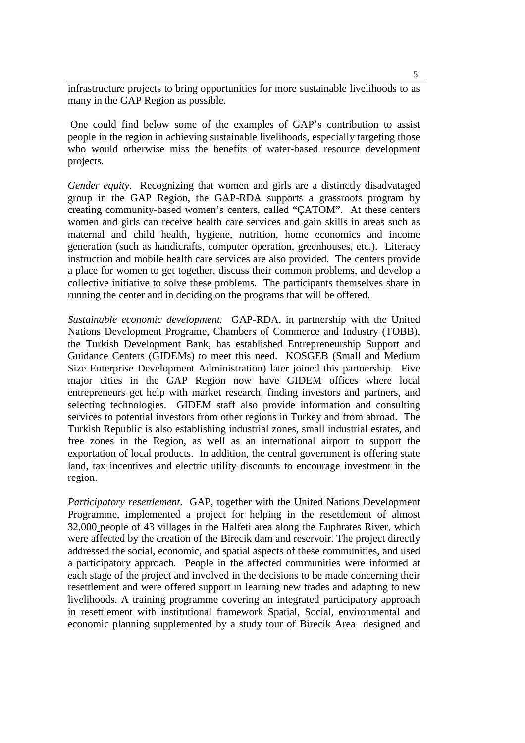infrastructure projects to bring opportunities for more sustainable livelihoods to as many in the GAP Region as possible.

 One could find below some of the examples of GAP's contribution to assist people in the region in achieving sustainable livelihoods, especially targeting those who would otherwise miss the benefits of water-based resource development projects.

*Gender equity.* Recognizing that women and girls are a distinctly disadvataged group in the GAP Region, the GAP-RDA supports a grassroots program by creating community-based women's centers, called "ÇATOM". At these centers women and girls can receive health care services and gain skills in areas such as maternal and child health, hygiene, nutrition, home economics and income generation (such as handicrafts, computer operation, greenhouses, etc.). Literacy instruction and mobile health care services are also provided. The centers provide a place for women to get together, discuss their common problems, and develop a collective initiative to solve these problems. The participants themselves share in running the center and in deciding on the programs that will be offered.

*Sustainable economic development.* GAP-RDA, in partnership with the United Nations Development Programe, Chambers of Commerce and Industry (TOBB), the Turkish Development Bank, has established Entrepreneurship Support and Guidance Centers (GIDEMs) to meet this need. KOSGEB (Small and Medium Size Enterprise Development Administration) later joined this partnership. Five major cities in the GAP Region now have GIDEM offices where local entrepreneurs get help with market research, finding investors and partners, and selecting technologies. GIDEM staff also provide information and consulting services to potential investors from other regions in Turkey and from abroad. The Turkish Republic is also establishing industrial zones, small industrial estates, and free zones in the Region, as well as an international airport to support the exportation of local products. In addition, the central government is offering state land, tax incentives and electric utility discounts to encourage investment in the region.

*Participatory resettlement*.GAP, together with the United Nations Development Programme, implemented a project for helping in the resettlement of almost 32,000 people of 43 villages in the Halfeti area along the Euphrates River, which were affected by the creation of the Birecik dam and reservoir. The project directly addressed the social, economic, and spatial aspects of these communities, and used a participatory approach. People in the affected communities were informed at each stage of the project and involved in the decisions to be made concerning their resettlement and were offered support in learning new trades and adapting to new livelihoods. A training programme covering an integrated participatory approach in resettlement with institutional framework Spatial, Social, environmental and economic planning supplemented by a study tour of Birecik Area designed and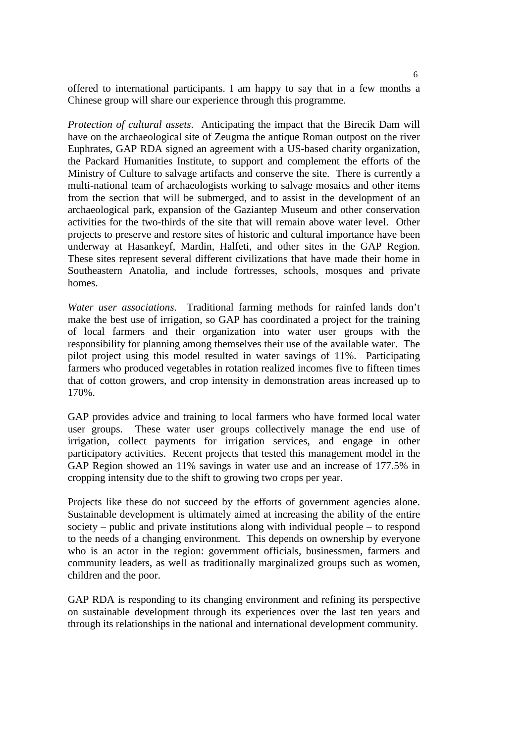offered to international participants. I am happy to say that in a few months a Chinese group will share our experience through this programme.

*Protection of cultural assets*. Anticipating the impact that the Birecik Dam will have on the archaeological site of Zeugma the antique Roman outpost on the river Euphrates, GAP RDA signed an agreement with a US-based charity organization, the Packard Humanities Institute, to support and complement the efforts of the Ministry of Culture to salvage artifacts and conserve the site. There is currently a multi-national team of archaeologists working to salvage mosaics and other items from the section that will be submerged, and to assist in the development of an archaeological park, expansion of the Gaziantep Museum and other conservation activities for the two-thirds of the site that will remain above water level. Other projects to preserve and restore sites of historic and cultural importance have been underway at Hasankeyf, Mardin, Halfeti, and other sites in the GAP Region. These sites represent several different civilizations that have made their home in Southeastern Anatolia, and include fortresses, schools, mosques and private homes.

*Water user associations*. Traditional farming methods for rainfed lands don't make the best use of irrigation, so GAP has coordinated a project for the training of local farmers and their organization into water user groups with the responsibility for planning among themselves their use of the available water. The pilot project using this model resulted in water savings of 11%. Participating farmers who produced vegetables in rotation realized incomes five to fifteen times that of cotton growers, and crop intensity in demonstration areas increased up to 170%.

GAP provides advice and training to local farmers who have formed local water user groups. These water user groups collectively manage the end use of irrigation, collect payments for irrigation services, and engage in other participatory activities. Recent projects that tested this management model in the GAP Region showed an 11% savings in water use and an increase of 177.5% in cropping intensity due to the shift to growing two crops per year.

Projects like these do not succeed by the efforts of government agencies alone. Sustainable development is ultimately aimed at increasing the ability of the entire society – public and private institutions along with individual people – to respond to the needs of a changing environment. This depends on ownership by everyone who is an actor in the region: government officials, businessmen, farmers and community leaders, as well as traditionally marginalized groups such as women, children and the poor.

GAP RDA is responding to its changing environment and refining its perspective on sustainable development through its experiences over the last ten years and through its relationships in the national and international development community.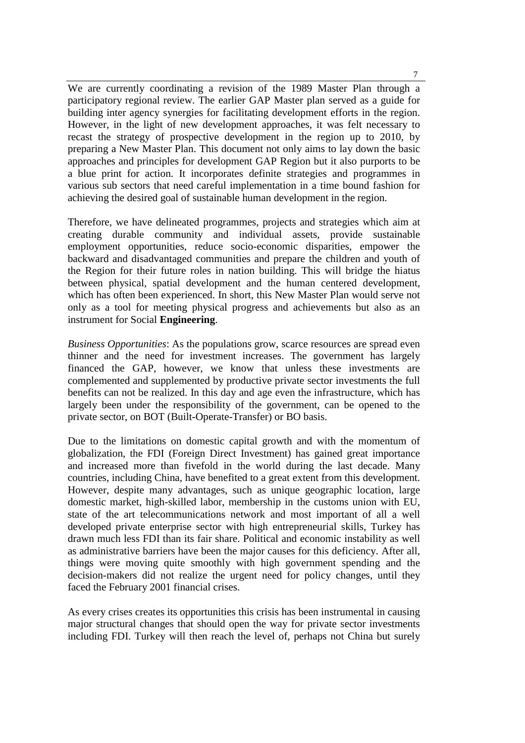We are currently coordinating a revision of the 1989 Master Plan through a participatory regional review. The earlier GAP Master plan served as a guide for building inter agency synergies for facilitating development efforts in the region. However, in the light of new development approaches, it was felt necessary to recast the strategy of prospective development in the region up to 2010, by preparing a New Master Plan. This document not only aims to lay down the basic approaches and principles for development GAP Region but it also purports to be a blue print for action. It incorporates definite strategies and programmes in various sub sectors that need careful implementation in a time bound fashion for achieving the desired goal of sustainable human development in the region.

Therefore, we have delineated programmes, projects and strategies which aim at creating durable community and individual assets, provide sustainable employment opportunities, reduce socio-economic disparities, empower the backward and disadvantaged communities and prepare the children and youth of the Region for their future roles in nation building. This will bridge the hiatus between physical, spatial development and the human centered development, which has often been experienced. In short, this New Master Plan would serve not only as a tool for meeting physical progress and achievements but also as an instrument for Social **Engineering**.

*Business Opportunities*: As the populations grow, scarce resources are spread even thinner and the need for investment increases. The government has largely financed the GAP, however, we know that unless these investments are complemented and supplemented by productive private sector investments the full benefits can not be realized. In this day and age even the infrastructure, which has largely been under the responsibility of the government, can be opened to the private sector, on BOT (Built-Operate-Transfer) or BO basis.

Due to the limitations on domestic capital growth and with the momentum of globalization, the FDI (Foreign Direct Investment) has gained great importance and increased more than fivefold in the world during the last decade. Many countries, including China, have benefited to a great extent from this development. However, despite many advantages, such as unique geographic location, large domestic market, high-skilled labor, membership in the customs union with EU, state of the art telecommunications network and most important of all a well developed private enterprise sector with high entrepreneurial skills, Turkey has drawn much less FDI than its fair share. Political and economic instability as well as administrative barriers have been the major causes for this deficiency. After all, things were moving quite smoothly with high government spending and the decision-makers did not realize the urgent need for policy changes, until they faced the February 2001 financial crises.

As every crises creates its opportunities this crisis has been instrumental in causing major structural changes that should open the way for private sector investments including FDI. Turkey will then reach the level of, perhaps not China but surely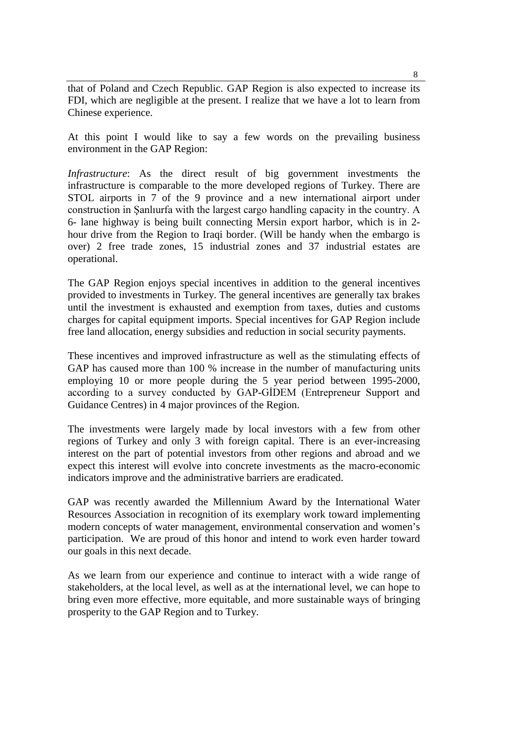that of Poland and Czech Republic. GAP Region is also expected to increase its FDI, which are negligible at the present. I realize that we have a lot to learn from Chinese experience.

At this point I would like to say a few words on the prevailing business environment in the GAP Region:

*Infrastructure*: As the direct result of big government investments the infrastructure is comparable to the more developed regions of Turkey. There are STOL airports in 7 of the 9 province and a new international airport under construction in Şanlıurfa with the largest cargo handling capacity in the country. A 6- lane highway is being built connecting Mersin export harbor, which is in 2 hour drive from the Region to Iraqi border. (Will be handy when the embargo is over) 2 free trade zones, 15 industrial zones and 37 industrial estates are operational.

The GAP Region enjoys special incentives in addition to the general incentives provided to investments in Turkey. The general incentives are generally tax brakes until the investment is exhausted and exemption from taxes, duties and customs charges for capital equipment imports. Special incentives for GAP Region include free land allocation, energy subsidies and reduction in social security payments.

These incentives and improved infrastructure as well as the stimulating effects of GAP has caused more than 100 % increase in the number of manufacturing units employing 10 or more people during the 5 year period between 1995-2000, according to a survey conducted by GAP-GİDEM (Entrepreneur Support and Guidance Centres) in 4 major provinces of the Region.

The investments were largely made by local investors with a few from other regions of Turkey and only 3 with foreign capital. There is an ever-increasing interest on the part of potential investors from other regions and abroad and we expect this interest will evolve into concrete investments as the macro-economic indicators improve and the administrative barriers are eradicated.

GAP was recently awarded the Millennium Award by the International Water Resources Association in recognition of its exemplary work toward implementing modern concepts of water management, environmental conservation and women's participation. We are proud of this honor and intend to work even harder toward our goals in this next decade.

As we learn from our experience and continue to interact with a wide range of stakeholders, at the local level, as well as at the international level, we can hope to bring even more effective, more equitable, and more sustainable ways of bringing prosperity to the GAP Region and to Turkey.